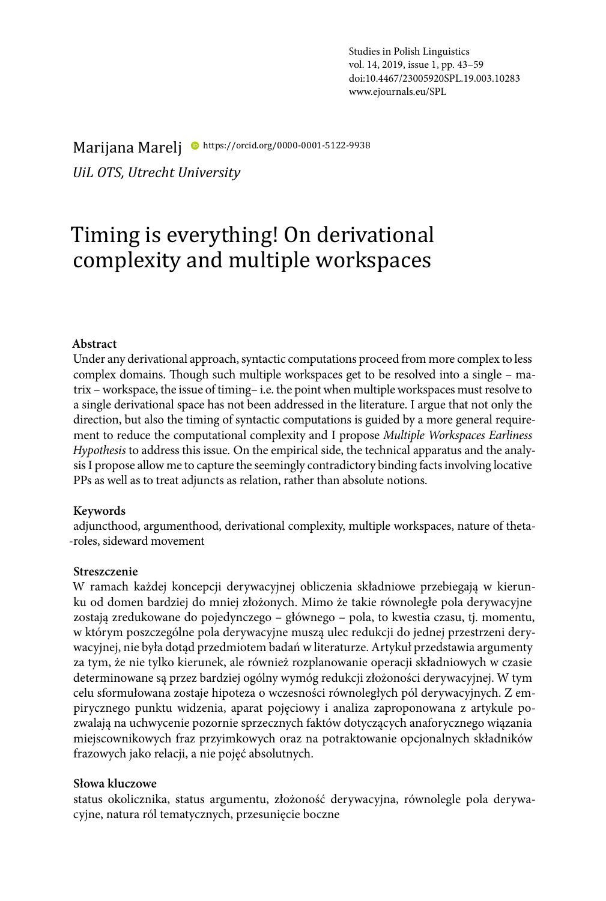Marijana Marelj <sup>·</sup> https://orcid.org/0000-0001-5122-9938

*UiL OTS, Utrecht University*

# Timing is everything! On derivational complexity and multiple workspaces

#### **Abstract**

Under any derivational approach, syntactic computations proceed from more complex to less complex domains. Though such multiple workspaces get to be resolved into a single – matrix – workspace, the issue of timing– i.e. the point when multiple workspaces must resolve to a single derivational space has not been addressed in the literature. I argue that not only the direction, but also the timing of syntactic computations is guided by a more general requirement to reduce the computational complexity and I propose *Multiple Workspaces Earliness Hypothesis* to address this issue*.* On the empirical side, the technical apparatus and the analysis I propose allow me to capture the seemingly contradictory binding facts involving locative PPs as well as to treat adjuncts as relation, rather than absolute notions.

#### **Keywords**

adjuncthood, argumenthood, derivational complexity, multiple workspaces, nature of theta- -roles, sideward movement

#### **Streszczenie**

W ramach każdej koncepcji derywacyjnej obliczenia składniowe przebiegają w kierunku od domen bardziej do mniej złożonych. Mimo że takie równoległe pola derywacyjne zostają zredukowane do pojedynczego – głównego – pola, to kwestia czasu, tj. momentu, w którym poszczególne pola derywacyjne muszą ulec redukcji do jednej przestrzeni derywacyjnej, nie była dotąd przedmiotem badań w literaturze. Artykuł przedstawia argumenty za tym, że nie tylko kierunek, ale również rozplanowanie operacji składniowych w czasie determinowane są przez bardziej ogólny wymóg redukcji złożoności derywacyjnej. W tym celu sformułowana zostaje hipoteza o wczesności równoległych pól derywacyjnych. Z empirycznego punktu widzenia, aparat pojęciowy i analiza zaproponowana z artykule pozwalają na uchwycenie pozornie sprzecznych faktów dotyczących anaforycznego wiązania miejscownikowych fraz przyimkowych oraz na potraktowanie opcjonalnych składników frazowych jako relacji, a nie pojęć absolutnych.

#### **Słowa kluczowe**

status okolicznika, status argumentu, złożoność derywacyjna, równolegle pola derywacyjne, natura ról tematycznych, przesunięcie boczne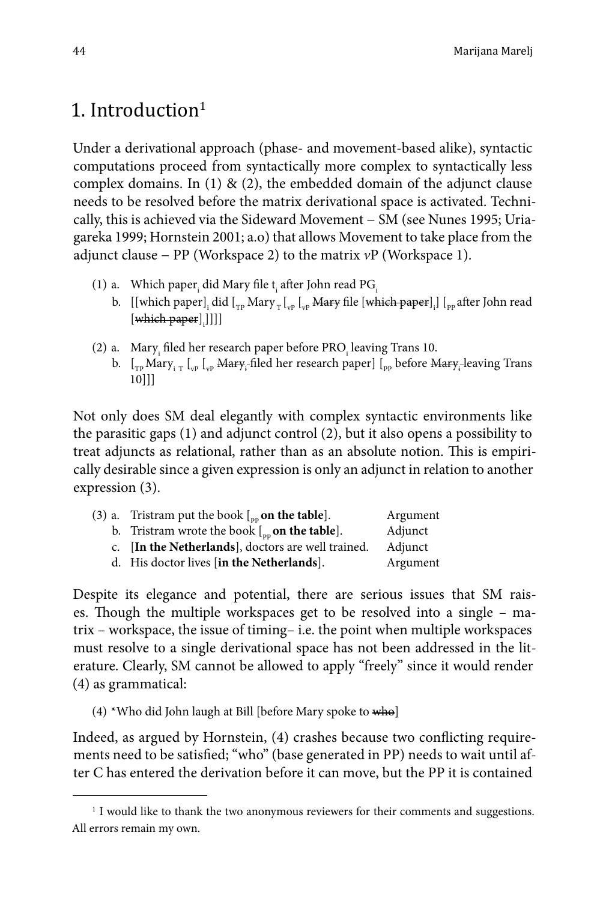## 1. Introduction $1$

Under a derivational approach (phase- and movement-based alike), syntactic computations proceed from syntactically more complex to syntactically less complex domains. In (1)  $\&$  (2), the embedded domain of the adjunct clause needs to be resolved before the matrix derivational space is activated. Technically, this is achieved via the Sideward Movement − SM (see Nunes 1995; Uriagareka 1999; Hornstein 2001; a.o) that allows Movement to take place from the adjunct clause − PP (Workspace 2) to the matrix *v*P (Workspace 1).

- (1) a. Which paper $_{\rm i}$  did Mary file t $_{\rm i}$  after John read PG $_{\rm i}$ 
	- b.  $\rm{[[which\ paper]_i\ did\ [\rm{_{TP}\ }Mary_T\ [\rm{_{vP}\ } Harry\ file\ [\rm{which\ paper}]_i\]\ [\rm{_{pp}\ after\ John\ read} }$  $[\begin{subarray}{c} \text{which paper} \end{subarray}]$ ]]]
- (2) a. Mary<sub>i</sub> filed her research paper before PRO<sub>i</sub> leaving Trans 10.
	- b.  $[\Gamma_{TP}$  Mary<sub>i T</sub>  $[\Gamma_{VP}$   $[\Gamma_{VP}]$  <del>Mary</del><sub>i</sub>-filed her research paper]  $[\Gamma_{PP}]$  before <del>Mary</del><sub>i</sub>-leaving Trans 10]]]

Not only does SM deal elegantly with complex syntactic environments like the parasitic gaps (1) and adjunct control (2), but it also opens a possibility to treat adjuncts as relational, rather than as an absolute notion. This is empirically desirable since a given expression is only an adjunct in relation to another expression (3).

| (3) a. Tristram put the book $\int_{\text{pp}}$ on the table]. | Argument |
|----------------------------------------------------------------|----------|
| b. Tristram wrote the book $\int_{\text{op}}$ on the table].   | Adjunct  |
| c. [In the Netherlands], doctors are well trained.             | Adjunct  |
| d. His doctor lives [in the Netherlands].                      | Argument |

Despite its elegance and potential, there are serious issues that SM raises. Though the multiple workspaces get to be resolved into a single – matrix – workspace, the issue of timing– i.e. the point when multiple workspaces must resolve to a single derivational space has not been addressed in the literature. Clearly, SM cannot be allowed to apply "freely" since it would render (4) as grammatical:

(4) \*Who did John laugh at Bill [before Mary spoke to who]

Indeed, as argued by Hornstein, (4) crashes because two conflicting requirements need to be satisfied; "who" (base generated in PP) needs to wait until after C has entered the derivation before it can move, but the PP it is contained

<sup>&</sup>lt;sup>1</sup> I would like to thank the two anonymous reviewers for their comments and suggestions. All errors remain my own.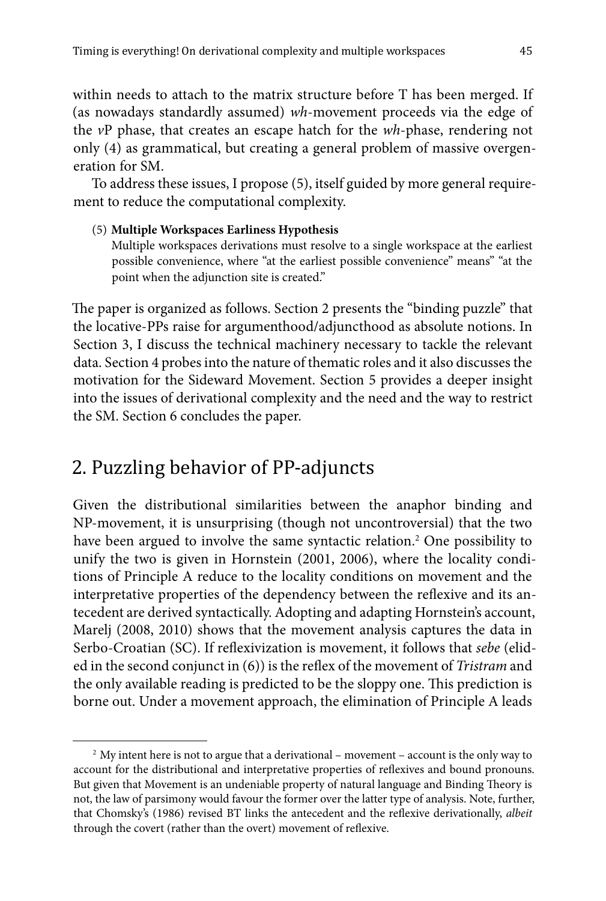within needs to attach to the matrix structure before T has been merged. If (as nowadays standardly assumed) *wh*-movement proceeds via the edge of the *v*P phase, that creates an escape hatch for the *wh*-phase, rendering not only (4) as grammatical, but creating a general problem of massive overgeneration for SM.

To address these issues, I propose (5), itself guided by more general requirement to reduce the computational complexity.

#### (5) **Multiple Workspaces Earliness Hypothesis**

Multiple workspaces derivations must resolve to a single workspace at the earliest possible convenience, where "at the earliest possible convenience" means" "at the point when the adjunction site is created."

The paper is organized as follows. Section 2 presents the "binding puzzle" that the locative-PPs raise for argumenthood/adjuncthood as absolute notions. In Section 3, I discuss the technical machinery necessary to tackle the relevant data. Section 4 probes into the nature of thematic roles and it also discusses the motivation for the Sideward Movement. Section 5 provides a deeper insight into the issues of derivational complexity and the need and the way to restrict the SM. Section 6 concludes the paper.

## 2. Puzzling behavior of PP-adjuncts

Given the distributional similarities between the anaphor binding and NP-movement, it is unsurprising (though not uncontroversial) that the two have been argued to involve the same syntactic relation.2 One possibility to unify the two is given in Hornstein (2001, 2006), where the locality conditions of Principle A reduce to the locality conditions on movement and the interpretative properties of the dependency between the reflexive and its antecedent are derived syntactically. Adopting and adapting Hornstein's account, Marelj (2008, 2010) shows that the movement analysis captures the data in Serbo-Croatian (SC). If reflexivization is movement, it follows that *sebe* (elided in the second conjunct in (6)) is the reflex of the movement of *Tristram* and the only available reading is predicted to be the sloppy one. This prediction is borne out. Under a movement approach, the elimination of Principle A leads

<sup>2</sup> My intent here is not to argue that a derivational – movement – account is the only way to account for the distributional and interpretative properties of reflexives and bound pronouns. But given that Movement is an undeniable property of natural language and Binding Theory is not, the law of parsimony would favour the former over the latter type of analysis. Note, further, that Chomsky's (1986) revised BT links the antecedent and the reflexive derivationally, *albeit*  through the covert (rather than the overt) movement of reflexive.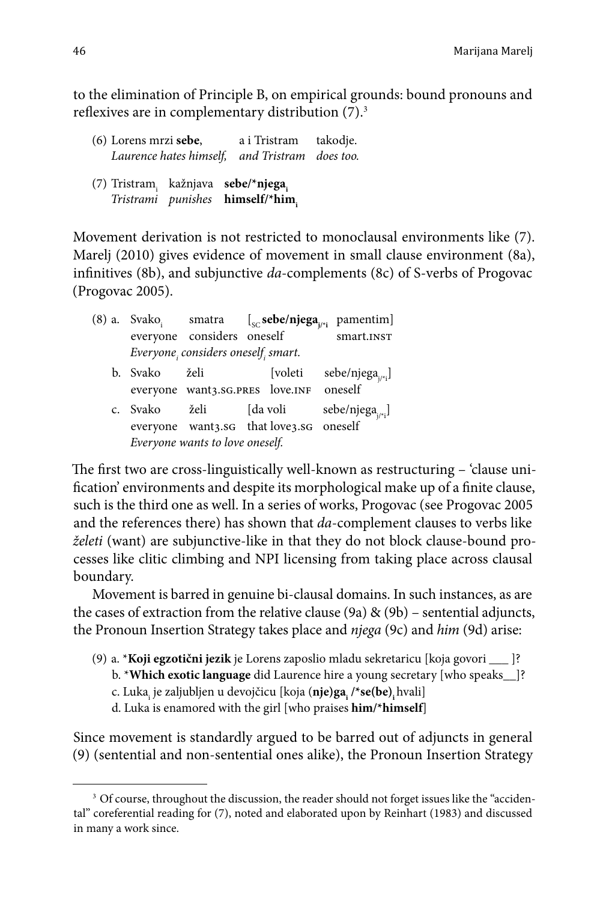to the elimination of Principle B, on empirical grounds: bound pronouns and reflexives are in complementary distribution (7).3

| (6) Lorens mrzi <b>sebe</b> ,       |  | a i Tristram takodje.<br>Laurence hates himself, and Tristram does too. |  |
|-------------------------------------|--|-------------------------------------------------------------------------|--|
| (7) Tristram, kažnjava sebe/*njega, |  |                                                                         |  |

*Tristrami punishes* **himself/\*him** 

Movement derivation is not restricted to monoclausal environments like (7). Marelj (2010) gives evidence of movement in small clause environment (8a), infinitives (8b), and subjunctive *da*-complements (8c) of S-verbs of Progovac (Progovac 2005).

|          |                                     |                                         | (8) a. Svako <sub>i</sub> smatra $\left[\int_{SC}$ <b>sebe/njega</b> <sub>i/*i</sub> pamentim] |
|----------|-------------------------------------|-----------------------------------------|------------------------------------------------------------------------------------------------|
|          | everyone considers oneself          |                                         | smart.INST                                                                                     |
|          | Everyone, considers oneself, smart. |                                         |                                                                                                |
| b. Svako | želi                                | [voleti                                 | sebe/njega <sub>j/*i</sub> ]                                                                   |
|          |                                     | everyone want3.sG.PRES love.INF oneself |                                                                                                |
| c. Svako |                                     | želi [da voli                           | sebe/njega <sub><math>i^*</math>i</sub> ]                                                      |
|          |                                     | everyone want3.sG that love3.sG oneself |                                                                                                |
|          | Everyone wants to love oneself.     |                                         |                                                                                                |

The first two are cross-linguistically well-known as restructuring – 'clause unification' environments and despite its morphological make up of a finite clause, such is the third one as well. In a series of works, Progovac (see Progovac 2005 and the references there) has shown that *da*-complement clauses to verbs like *želeti* (want) are subjunctive-like in that they do not block clause-bound processes like clitic climbing and NPI licensing from taking place across clausal boundary.

Movement is barred in genuine bi-clausal domains. In such instances, as are the cases of extraction from the relative clause (9a) & (9b) – sentential adjuncts, the Pronoun Insertion Strategy takes place and *njega* (9c) and *him* (9d) arise:

(9) a. \***Koji egzotični jezik** je Lorens zaposlio mladu sekretaricu [koja govori \_\_\_ ]? b. \***Which exotic language** did Laurence hire a young secretary [who speaks\_\_]? c. Luka<sub>i</sub> je zaljubljen u devojčicu [koja (**nje)ga<sub>i</sub> /\*se(be)<sub>i</sub> h**vali] d. Luka is enamored with the girl [who praises **him/\*himself**]

Since movement is standardly argued to be barred out of adjuncts in general (9) (sentential and non-sentential ones alike), the Pronoun Insertion Strategy

<sup>&</sup>lt;sup>3</sup> Of course, throughout the discussion, the reader should not forget issues like the "accidental" coreferential reading for (7), noted and elaborated upon by Reinhart (1983) and discussed in many a work since.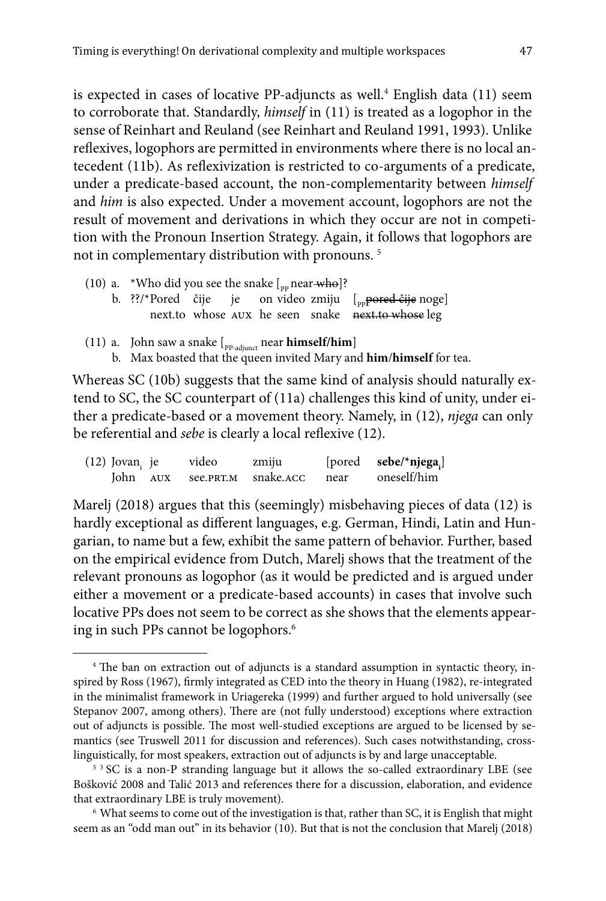is expected in cases of locative PP-adjuncts as well.4 English data (11) seem to corroborate that. Standardly, *himself* in (11) is treated as a logophor in the sense of Reinhart and Reuland (see Reinhart and Reuland 1991, 1993). Unlike reflexives, logophors are permitted in environments where there is no local antecedent (11b). As reflexivization is restricted to co-arguments of a predicate, under a predicate-based account, the non-complementarity between *himself*  and *him* is also expected. Under a movement account, logophors are not the result of movement and derivations in which they occur are not in competition with the Pronoun Insertion Strategy. Again, it follows that logophors are not in complementary distribution with pronouns. 5

|  | (10) a. *Who did you see the snake $\left[$ <sub>pp</sub> near-who <sup>1</sup> ? |  |  |  |  |  |
|--|-----------------------------------------------------------------------------------|--|--|--|--|--|
|--|-----------------------------------------------------------------------------------|--|--|--|--|--|

- b. ??/\*Pored čije je on video zmiju  $\left[ \begin{array}{cc} p_{\text{p}} & p_{\text{p}} & p_{\text{p}} \\ p_{\text{p}} & p_{\text{p}} & p_{\text{p}} \end{array} \right]$ next.to whose aux he seen snake next.to whose leg
- (11) a. John saw a snake  $\left[\begin{smallmatrix}p_{P\text{-adjunct}}} \text{near himself/him}\end{smallmatrix}\right]$ 
	- b. Max boasted that the queen invited Mary and **him**/**himself** for tea.

Whereas SC (10b) suggests that the same kind of analysis should naturally extend to SC, the SC counterpart of (11a) challenges this kind of unity, under either a predicate-based or a movement theory. Namely, in (12), *njega* can only be referential and *sebe* is clearly a local reflexive (12).

| $(12)$ Jovan <sub>i</sub> je | video              | zmiju     |      | [pored sebe/*njega <sub>i</sub> ] |
|------------------------------|--------------------|-----------|------|-----------------------------------|
|                              | John AUX see.PRT.M | snake.ACC | near | oneself/him                       |

Marelj (2018) argues that this (seemingly) misbehaving pieces of data (12) is hardly exceptional as different languages, e.g. German, Hindi, Latin and Hungarian, to name but a few, exhibit the same pattern of behavior. Further, based on the empirical evidence from Dutch, Marelj shows that the treatment of the relevant pronouns as logophor (as it would be predicted and is argued under either a movement or a predicate-based accounts) in cases that involve such locative PPs does not seem to be correct as she shows that the elements appearing in such PPs cannot be logophors.<sup>6</sup>

<sup>4</sup> The ban on extraction out of adjuncts is a standard assumption in syntactic theory, inspired by Ross (1967), firmly integrated as CED into the theory in Huang (1982), re-integrated in the minimalist framework in Uriagereka (1999) and further argued to hold universally (see Stepanov 2007, among others). There are (not fully understood) exceptions where extraction out of adjuncts is possible. The most well-studied exceptions are argued to be licensed by semantics (see Truswell 2011 for discussion and references). Such cases notwithstanding, crosslinguistically, for most speakers, extraction out of adjuncts is by and large unacceptable.

<sup>&</sup>lt;sup>5</sup> <sup>3</sup> SC is a non-P stranding language but it allows the so-called extraordinary LBE (see Bošković 2008 and Talić 2013 and references there for a discussion, elaboration, and evidence that extraordinary LBE is truly movement).

<sup>6</sup> What seems to come out of the investigation is that, rather than SC, it is English that might seem as an "odd man out" in its behavior (10). But that is not the conclusion that Marelj (2018)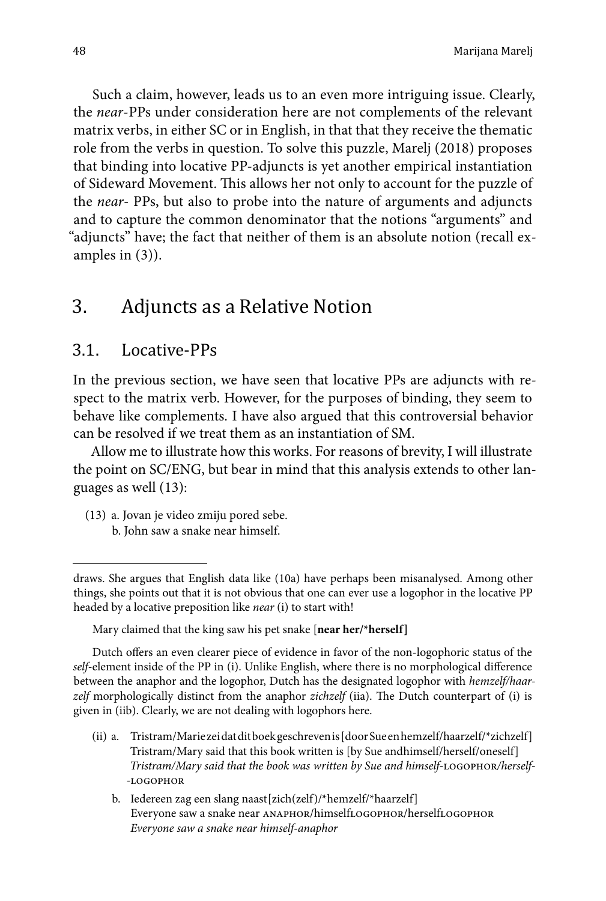Such a claim, however, leads us to an even more intriguing issue. Clearly, the *near*-PPs under consideration here are not complements of the relevant matrix verbs, in either SC or in English, in that that they receive the thematic role from the verbs in question. To solve this puzzle, Marelj (2018) proposes that binding into locative PP-adjuncts is yet another empirical instantiation of Sideward Movement. This allows her not only to account for the puzzle of the *near*- PPs, but also to probe into the nature of arguments and adjuncts and to capture the common denominator that the notions "arguments" and "adjuncts" have; the fact that neither of them is an absolute notion (recall examples in (3)).

## 3. Adjuncts as a Relative Notion

#### 3.1. Locative-PPs

In the previous section, we have seen that locative PPs are adjuncts with respect to the matrix verb. However, for the purposes of binding, they seem to behave like complements. I have also argued that this controversial behavior can be resolved if we treat them as an instantiation of SM.

Allow me to illustrate how this works. For reasons of brevity, I will illustrate the point on SC/ENG, but bear in mind that this analysis extends to other languages as well (13):

- (13) a. Jovan je video zmiju pored sebe.
	- b. John saw a snake near himself.

Mary claimed that the king saw his pet snake [**near her/\*herself]**

Dutch offers an even clearer piece of evidence in favor of the non-logophoric status of the *self*-element inside of the PP in (i). Unlike English, where there is no morphological difference between the anaphor and the logophor, Dutch has the designated logophor with *hemzelf/haarzelf* morphologically distinct from the anaphor *zichzelf* (iia). The Dutch counterpart of (i) is given in (iib). Clearly, we are not dealing with logophors here.

- (ii) a. Tristram/Marie zei dat dit boek geschreven is [door Sue en hemzelf/haarzelf/\*zichzelf] Tristram/Mary said that this book written is [by Sue andhimself/herself/oneself] *Tristram/Mary said that the book was written by Sue and himself-*logophor*/herself- -*logophor
	- b. Iedereen zag een slang naast[zich(zelf)/\*hemzelf/\*haarzelf] Everyone saw a snake near anaphor/himselflogophor/herselflogophor *Everyone saw a snake near himself-anaphor*

draws. She argues that English data like (10a) have perhaps been misanalysed. Among other things, she points out that it is not obvious that one can ever use a logophor in the locative PP headed by a locative preposition like *near* (i) to start with!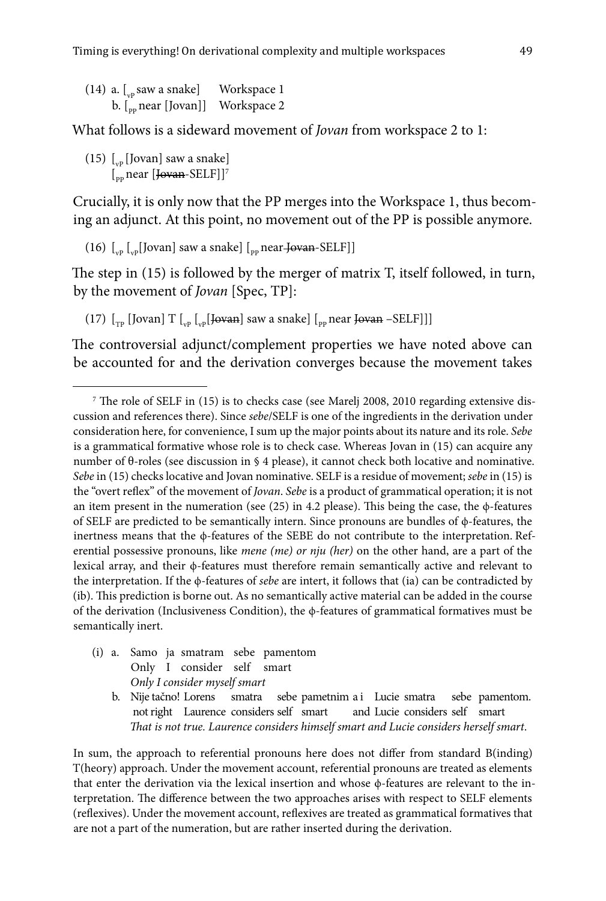| $(14)$ a. [ <sub>vp</sub> saw a snake]       | Workspace 1 |
|----------------------------------------------|-------------|
| b. [ <sub>pp</sub> near [Jovan]] Workspace 2 |             |

What follows is a sideward movement of *Jovan* from workspace 2 to 1:

(15)  $\lceil v_p \rceil$  [Jovan] saw a snake]  $\int_{\text{p}}$  near [Jovan-SELF]]<sup>7</sup>

Crucially, it is only now that the PP merges into the Workspace 1, thus becoming an adjunct. At this point, no movement out of the PP is possible anymore.

(16)  $\left[\int_{\text{vol}}\left[\text{Jovan}\right]$  saw a snake]  $\left[\int_{\text{vol}}\text{near-Jovan-SELF}\right]\right]$ 

The step in (15) is followed by the merger of matrix T, itself followed, in turn, by the movement of *Jovan* [Spec, TP]:

(17)  $\left[\begin{smallmatrix}T_p & T_p & I_{vp} & I_{vp} & I_{vp} & I_{vp} & I_{\text{even}}\end{smallmatrix}\right]$  saw a snake]  $\left[\begin{smallmatrix}T_p & T_p & I_{vp} & I_{vp} & I_{vp}\end{smallmatrix}\right]$ 

The controversial adjunct/complement properties we have noted above can be accounted for and the derivation converges because the movement takes

- (i) a. Samo ja smatram sebe pamentom Only I consider self smart *Only I consider myself smart*
	- b. Nije tačno! Lorens smatra sebe pametnim a i Lucie smatra sebe pamentom. not right Laurence considers self smart and Lucie considers self smart *That is not true. Laurence considers himself smart and Lucie considers herself smart*.

In sum, the approach to referential pronouns here does not differ from standard B(inding) T(heory) approach. Under the movement account, referential pronouns are treated as elements that enter the derivation via the lexical insertion and whose ϕ-features are relevant to the interpretation. The difference between the two approaches arises with respect to SELF elements (reflexives). Under the movement account, reflexives are treated as grammatical formatives that are not a part of the numeration, but are rather inserted during the derivation.

<sup>&</sup>lt;sup>7</sup> The role of SELF in (15) is to checks case (see Marelj 2008, 2010 regarding extensive discussion and references there). Since *sebe*/SELF is one of the ingredients in the derivation under consideration here, for convenience, I sum up the major points about its nature and its role. *Sebe* is a grammatical formative whose role is to check case. Whereas Jovan in (15) can acquire any number of θ-roles (see discussion in § 4 please), it cannot check both locative and nominative. *Sebe* in (15) checks locative and Jovan nominative. SELF is a residue of movement; *sebe* in (15) is the "overt reflex" of the movement of *Jovan*. *Sebe* is a product of grammatical operation; it is not an item present in the numeration (see (25) in 4.2 please). This being the case, the ϕ-features of SELF are predicted to be semantically intern. Since pronouns are bundles of ϕ-features, the inertness means that the ϕ-features of the SEBE do not contribute to the interpretation. Referential possessive pronouns, like *mene (me) or nju (her)* on the other hand, are a part of the lexical array, and their ϕ-features must therefore remain semantically active and relevant to the interpretation. If the ϕ-features of *sebe* are intert, it follows that (ia) can be contradicted by (ib). This prediction is borne out. As no semantically active material can be added in the course of the derivation (Inclusiveness Condition), the  $\phi$ -features of grammatical formatives must be semantically inert.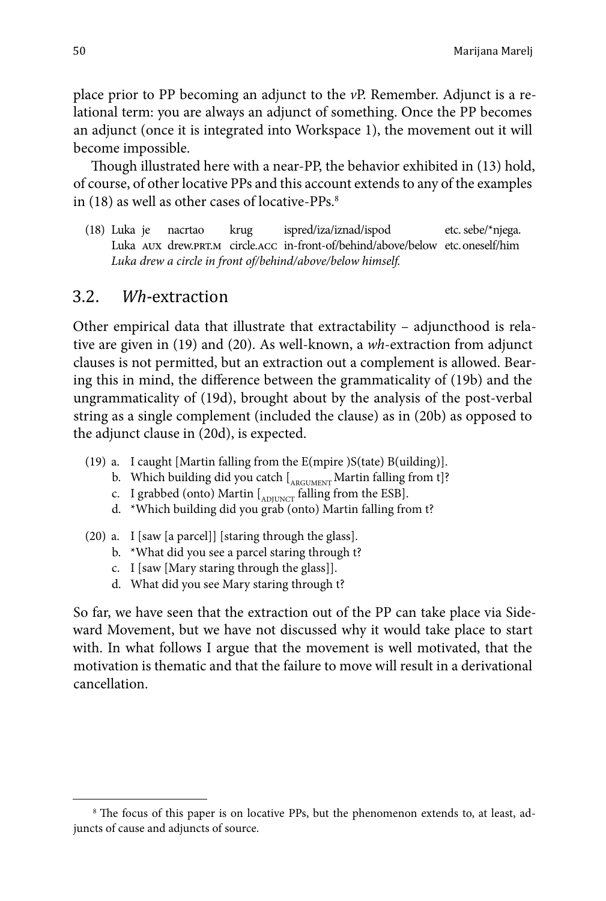place prior to PP becoming an adjunct to the *v*P. Remember. Adjunct is a relational term: you are always an adjunct of something. Once the PP becomes an adjunct (once it is integrated into Workspace 1), the movement out it will become impossible.

Though illustrated here with a near-PP, the behavior exhibited in (13) hold, of course, of other locative PPs and this account extends to any of the examples in  $(18)$  as well as other cases of locative-PPs.<sup>8</sup>

(18) Luka je nacrtao krug ispred/iza/iznad/ispod etc. sebe/\*njega. Luka AUX drew.PRT.M circle.ACC in-front-of/behind/above/below etc.oneself/him *Luka drew a circle in front of/behind/above/below himself.*

#### 3.2. *Wh*-extraction

Other empirical data that illustrate that extractability – adjuncthood is relative are given in (19) and (20). As well-known, a *wh*-extraction from adjunct clauses is not permitted, but an extraction out a complement is allowed. Bearing this in mind, the difference between the grammaticality of (19b) and the ungrammaticality of (19d), brought about by the analysis of the post-verbal string as a single complement (included the clause) as in (20b) as opposed to the adjunct clause in (20d), is expected.

- (19) a. I caught [Martin falling from the E(mpire )S(tate) B(uilding)].
	- b. Which building did you catch  $\left[ \begin{smallmatrix} 1 & 0 \\ 0 & N \end{smallmatrix} \right]$  martin falling from t]?
	- c. I grabbed (onto) Martin  $\int_{ADIUVCT}$  falling from the ESB].
	- d. \*Which building did you grab (onto) Martin falling from t?
- (20) a. I [saw [a parcel]] [staring through the glass].
	- b. \*What did you see a parcel staring through t?
	- c. I [saw [Mary staring through the glass]].
	- d. What did you see Mary staring through t?

So far, we have seen that the extraction out of the PP can take place via Sideward Movement, but we have not discussed why it would take place to start with. In what follows I argue that the movement is well motivated, that the motivation is thematic and that the failure to move will result in a derivational cancellation.

<sup>8</sup> The focus of this paper is on locative PPs, but the phenomenon extends to, at least, adjuncts of cause and adjuncts of source.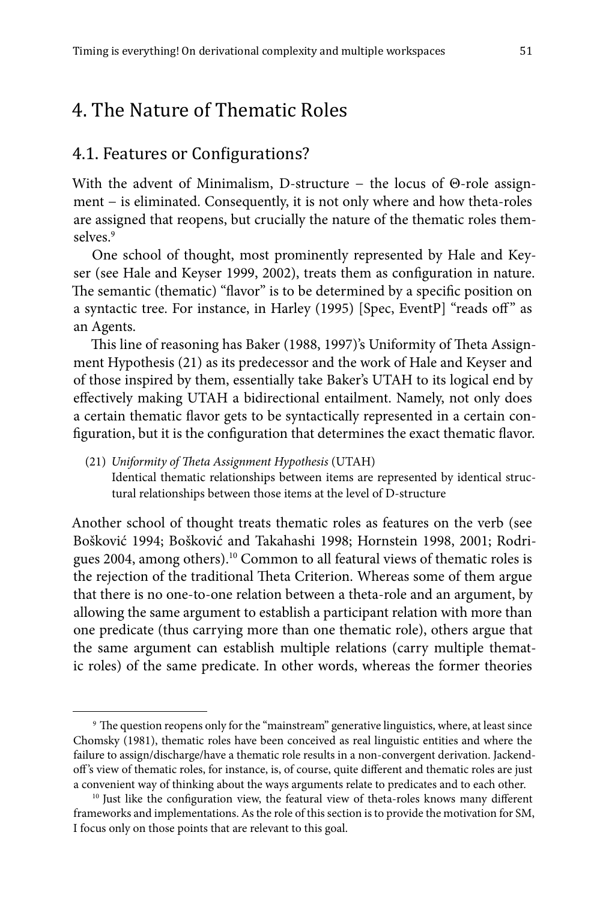## 4. The Nature of Thematic Roles

#### 4.1. Features or Configurations?

With the advent of Minimalism, D-structure − the locus of Θ-role assignment − is eliminated. Consequently, it is not only where and how theta-roles are assigned that reopens, but crucially the nature of the thematic roles themselves.9

One school of thought, most prominently represented by Hale and Keyser (see Hale and Keyser 1999, 2002), treats them as configuration in nature. The semantic (thematic) "flavor" is to be determined by a specific position on a syntactic tree. For instance, in Harley (1995) [Spec, EventP] "reads off" as an Agents.

This line of reasoning has Baker (1988, 1997)'s Uniformity of Theta Assignment Hypothesis (21) as its predecessor and the work of Hale and Keyser and of those inspired by them, essentially take Baker's UTAH to its logical end by effectively making UTAH a bidirectional entailment. Namely, not only does a certain thematic flavor gets to be syntactically represented in a certain configuration, but it is the configuration that determines the exact thematic flavor.

(21) *Uniformity of Theta Assignment Hypothesis* (UTAH)

Identical thematic relationships between items are represented by identical structural relationships between those items at the level of D-structure

Another school of thought treats thematic roles as features on the verb (see Bošković 1994; Bošković and Takahashi 1998; Hornstein 1998, 2001; Rodrigues 2004, among others).10 Common to all featural views of thematic roles is the rejection of the traditional Theta Criterion. Whereas some of them argue that there is no one-to-one relation between a theta-role and an argument, by allowing the same argument to establish a participant relation with more than one predicate (thus carrying more than one thematic role), others argue that the same argument can establish multiple relations (carry multiple thematic roles) of the same predicate. In other words, whereas the former theories

<sup>9</sup> The question reopens only for the "mainstream" generative linguistics, where, at least since Chomsky (1981), thematic roles have been conceived as real linguistic entities and where the failure to assign/discharge/have a thematic role results in a non-convergent derivation. Jackendoff 's view of thematic roles, for instance, is, of course, quite different and thematic roles are just a convenient way of thinking about the ways arguments relate to predicates and to each other. 10 Just like the configuration view, the featural view of theta-roles knows many different

frameworks and implementations. As the role of this section is to provide the motivation for SM, I focus only on those points that are relevant to this goal.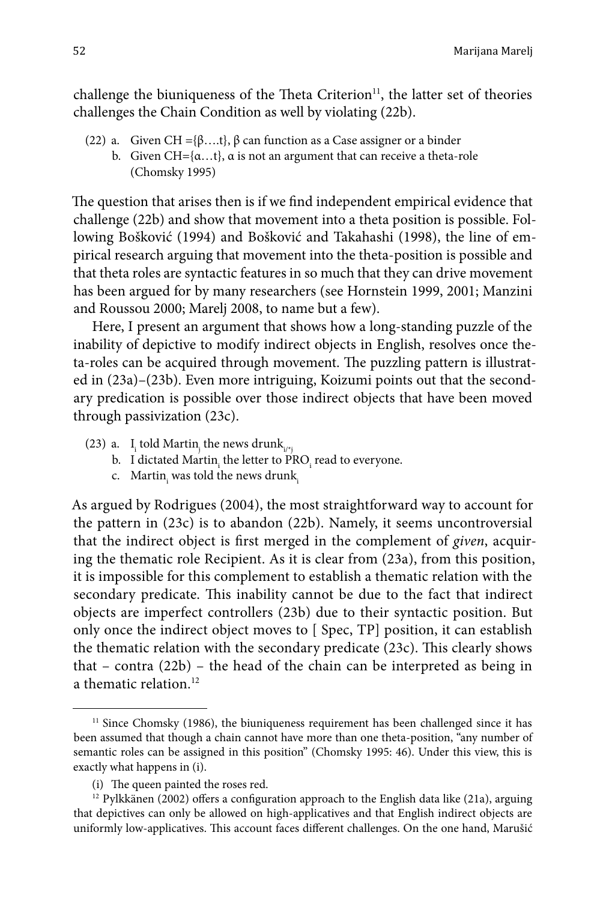challenge the biuniqueness of the Theta Criterion<sup>11</sup>, the latter set of theories challenges the Chain Condition as well by violating (22b).

- (22) a. Given  $CH = \{ \beta, \ldots, \beta \}$  can function as a Case assigner or a binder
	- b. Given  $CH = \{\alpha \dots t\}$ ,  $\alpha$  is not an argument that can receive a theta-role (Chomsky 1995)

The question that arises then is if we find independent empirical evidence that challenge (22b) and show that movement into a theta position is possible. Following Bošković (1994) and Bošković and Takahashi (1998), the line of empirical research arguing that movement into the theta-position is possible and that theta roles are syntactic features in so much that they can drive movement has been argued for by many researchers (see Hornstein 1999, 2001; Manzini and Roussou 2000; Marelj 2008, to name but a few).

Here, I present an argument that shows how a long-standing puzzle of the inability of depictive to modify indirect objects in English, resolves once theta-roles can be acquired through movement. The puzzling pattern is illustrated in (23a)–(23b). Even more intriguing, Koizumi points out that the secondary predication is possible over those indirect objects that have been moved through passivization (23c).

- (23) a.  $I_i$  told Martin<sub>j</sub> the news drunk<sub>i/\*j</sub>
	- b. I dictated Martin<sub>i</sub> the letter to PRO<sub>i</sub> read to everyone.
	- c. Martin<sub>i</sub> was told the news drunk<sub>i</sub>

As argued by Rodrigues (2004), the most straightforward way to account for the pattern in (23c) is to abandon (22b). Namely, it seems uncontroversial that the indirect object is first merged in the complement of *given*, acquiring the thematic role Recipient. As it is clear from (23a), from this position, it is impossible for this complement to establish a thematic relation with the secondary predicate. This inability cannot be due to the fact that indirect objects are imperfect controllers (23b) due to their syntactic position. But only once the indirect object moves to [ Spec, TP] position, it can establish the thematic relation with the secondary predicate (23c). This clearly shows that – contra (22b) – the head of the chain can be interpreted as being in a thematic relation.<sup>12</sup>

<sup>&</sup>lt;sup>11</sup> Since Chomsky (1986), the biuniqueness requirement has been challenged since it has been assumed that though a chain cannot have more than one theta-position, "any number of semantic roles can be assigned in this position" (Chomsky 1995: 46). Under this view, this is exactly what happens in (i).

<sup>(</sup>i) The queen painted the roses red.

 $12$  Pylkkänen (2002) offers a configuration approach to the English data like (21a), arguing that depictives can only be allowed on high-applicatives and that English indirect objects are uniformly low-applicatives. This account faces different challenges. On the one hand, Marušić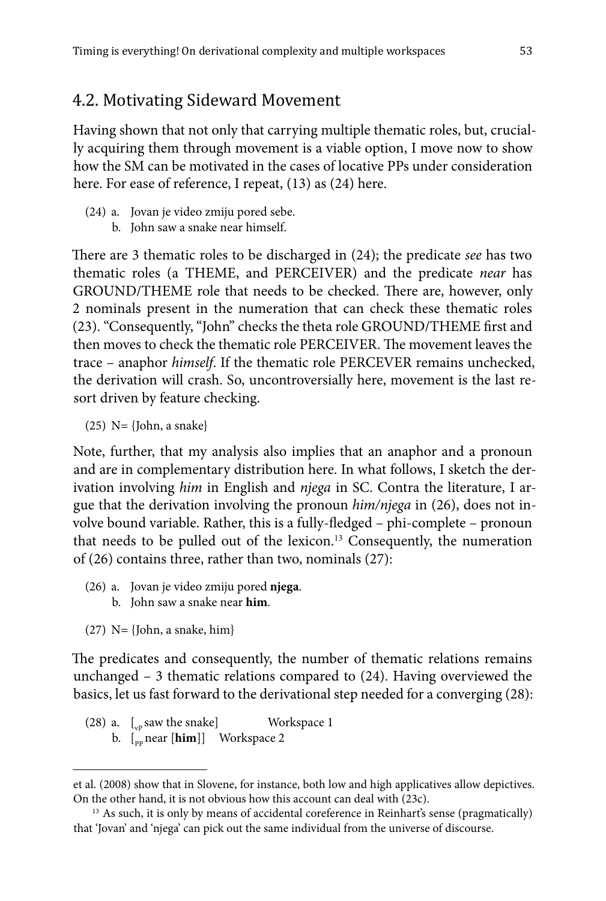### 4.2. Motivating Sideward Movement

Having shown that not only that carrying multiple thematic roles, but, crucially acquiring them through movement is a viable option, I move now to show how the SM can be motivated in the cases of locative PPs under consideration here. For ease of reference, I repeat, (13) as (24) here.

- (24) a. Jovan je video zmiju pored sebe.
	- b. John saw a snake near himself.

There are 3 thematic roles to be discharged in (24); the predicate *see* has two thematic roles (a THEME, and PERCEIVER) and the predicate *near* has GROUND/THEME role that needs to be checked. There are, however, only 2 nominals present in the numeration that can check these thematic roles (23). "Consequently, "John" checks the theta role GROUND/THEME first and then moves to check the thematic role PERCEIVER. The movement leaves the trace – anaphor *himself*. If the thematic role PERCEVER remains unchecked, the derivation will crash. So, uncontroversially here, movement is the last resort driven by feature checking.

 $(25)$  N= {John, a snake}

Note, further, that my analysis also implies that an anaphor and a pronoun and are in complementary distribution here. In what follows, I sketch the derivation involving *him* in English and *njega* in SC. Contra the literature, I argue that the derivation involving the pronoun *him/njega* in (26), does not involve bound variable. Rather, this is a fully-fledged – phi-complete – pronoun that needs to be pulled out of the lexicon.<sup>13</sup> Consequently, the numeration of (26) contains three, rather than two, nominals (27):

- (26) a. Jovan je video zmiju pored **njega**.
	- b. John saw a snake near **him**.
- $(27)$  N= {John, a snake, him}

The predicates and consequently, the number of thematic relations remains unchanged – 3 thematic relations compared to (24). Having overviewed the basics, let us fast forward to the derivational step needed for a converging (28):

(28) a.  $\left[\begin{array}{cc} 0 & \text{if } 0 \end{array}\right]$  Workspace 1 b. [<sub>pp</sub> near [**him**]] Workspace 2

et al. (2008) show that in Slovene, for instance, both low and high applicatives allow depictives. On the other hand, it is not obvious how this account can deal with (23c).<br><sup>13</sup> As such, it is only by means of accidental coreference in Reinhart's sense (pragmatically)

that 'Jovan' and 'njega' can pick out the same individual from the universe of discourse.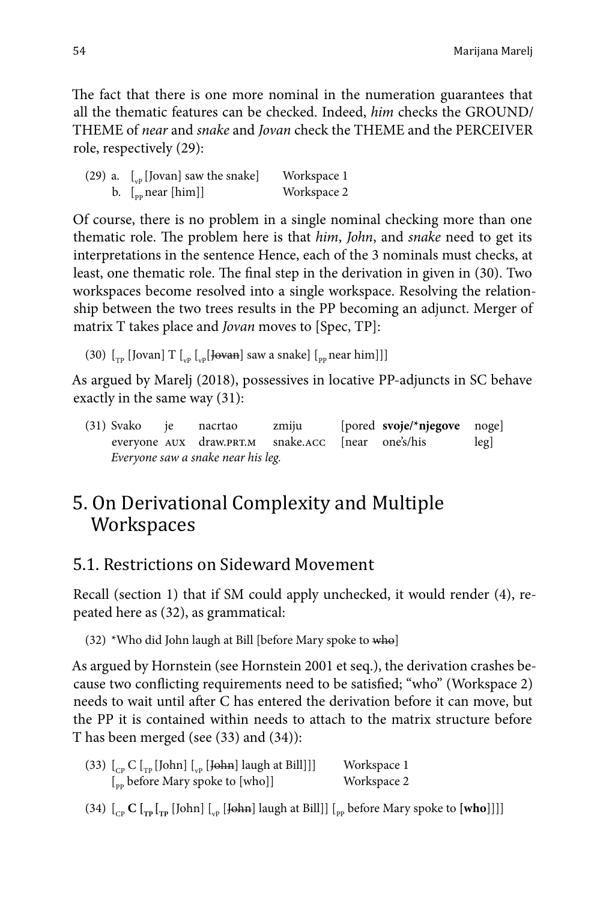The fact that there is one more nominal in the numeration guarantees that all the thematic features can be checked. Indeed, *him* checks the GROUND/ THEME of *near* and *snake* and *Jovan* check the THEME and the PERCEIVER role, respectively (29):

| (29) a. $\left[\begin{matrix} 0 & \frac{1}{2} \\ 0 & \frac{1}{2} \end{matrix}\right]$ saw the snake | Workspace 1 |
|-----------------------------------------------------------------------------------------------------|-------------|
| b. $\left[$ <sub>pp</sub> near [him]]                                                               | Workspace 2 |

Of course, there is no problem in a single nominal checking more than one thematic role. The problem here is that *him*, *John*, and *snake* need to get its interpretations in the sentence Hence, each of the 3 nominals must checks, at least, one thematic role. The final step in the derivation in given in (30). Two workspaces become resolved into a single workspace. Resolving the relationship between the two trees results in the PP becoming an adjunct. Merger of matrix T takes place and *Jovan* moves to [Spec, TP]:

(30)  $\left[\begin{smallmatrix} 0 & \mu_{\text{TD}} \\ \mu_{\text{PD}} & \mu_{\text{VD}} \end{smallmatrix} \right]$   $\left[\begin{smallmatrix} 0 & \mu_{\text{DP}} \\ \mu_{\text{DP}} & \mu_{\text{DP}} \end{smallmatrix} \right]$  (30)  $\left[\begin{smallmatrix} 0 & \mu_{\text{DP}} \\ \mu_{\text{DP}} & \mu_{\text{DP}} \end{smallmatrix} \right]$ 

As argued by Marelj (2018), possessives in locative PP-adjuncts in SC behave exactly in the same way (31):

(31) Svako je nacrtao zmiju [pored **svoje/\*njegove** noge] everyone AUX draw.PRT.M snake.ACC [near one's/his leg] *Everyone saw a snake near his leg.*

## 5. On Derivational Complexity and Multiple **Workspaces**

## 5.1. Restrictions on Sideward Movement

Recall (section 1) that if SM could apply unchecked, it would render (4), repeated here as (32), as grammatical:

(32) \*Who did John laugh at Bill [before Mary spoke to who]

As argued by Hornstein (see Hornstein 2001 et seq.), the derivation crashes because two conflicting requirements need to be satisfied; "who" (Workspace 2) needs to wait until after C has entered the derivation before it can move, but the PP it is contained within needs to attach to the matrix structure before T has been merged (see (33) and (34)):

| (33) $\left[\begin{smallmatrix}C_{\text{p}} & C\end{smallmatrix}\right]$ [John] $\left[\begin{smallmatrix}C_{\text{p}} & D\end{smallmatrix}\right]$ [John] laugh at Bill]]] | Workspace 1 |
|-----------------------------------------------------------------------------------------------------------------------------------------------------------------------------|-------------|
| $\left[\begin{smallmatrix} 0 & \mathbf{0} \\ \mathbf{0} & \mathbf{0} \end{smallmatrix}\right]$ before Mary spoke to [who]]                                                  | Workspace 2 |

(34)  $\begin{bmatrix} C_{\text{CP}} C \end{bmatrix}$   $\begin{bmatrix} T_{\text{PP}} \end{bmatrix}$  [John]  $\begin{bmatrix} T_{\text{VP}} \end{bmatrix}$  [John] laugh at Bill]]  $\begin{bmatrix} T_{\text{PP}} \end{bmatrix}$  before Mary spoke to  $\begin{bmatrix} \text{who} \end{bmatrix}$ ]]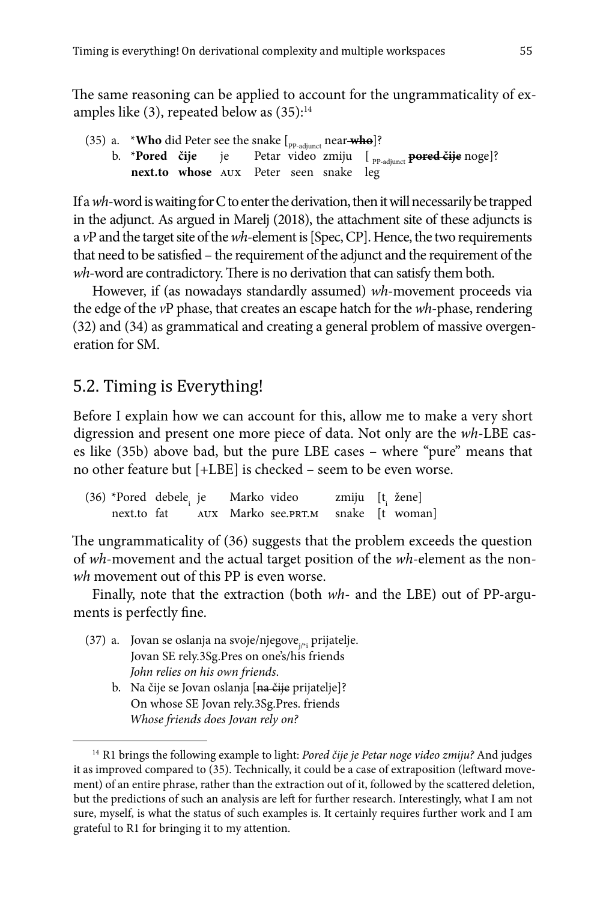The same reasoning can be applied to account for the ungrammaticality of examples like  $(3)$ , repeated below as  $(35)$ :<sup>14</sup>

(35) a. \***Who** did Peter see the snake  $\lbrack_{\text{PP-adjunct}}$  near **who**]? b. \***Pored čije** je Petar video zmiju [ <sub>PP-adjunct</sub> **pored čije** noge]? **next.to whose** aux Peter seen snake leg

If a *wh*-word is waiting for C to enter the derivation, then it will necessarily be trapped in the adjunct. As argued in Marelj (2018), the attachment site of these adjuncts is a *v*P and the target site of the *wh*-element is [Spec, CP]. Hence, the two requirements that need to be satisfied – the requirement of the adjunct and the requirement of the *wh*-word are contradictory. There is no derivation that can satisfy them both.

However, if (as nowadays standardly assumed) *wh*-movement proceeds via the edge of the *v*P phase, that creates an escape hatch for the *wh*-phase, rendering (32) and (34) as grammatical and creating a general problem of massive overgeneration for SM.

#### 5.2. Timing is Everything!

Before I explain how we can account for this, allow me to make a very short digression and present one more piece of data. Not only are the *wh*-LBE cases like (35b) above bad, but the pure LBE cases – where "pure" means that no other feature but [+LBE] is checked – seem to be even worse.

(36) \*Pored debele<sub>i</sub> je Marko video zmiju  $[t_i]$  žene]<br>next.to fat aux Marko see.pr.t.m snake [t woman] aux Marko see.prt.m

The ungrammaticality of (36) suggests that the problem exceeds the question of *wh*-movement and the actual target position of the *wh*-element as the non*wh* movement out of this PP is even worse.

Finally, note that the extraction (both *wh*- and the LBE) out of PP-arguments is perfectly fine.

- (37) a. Jovan se oslanja na svoje/njegove $_{i,*i}$  prijatelje. Jovan SE rely.3Sg.Pres on one's/his friends *John relies on his own friends*.
	- b. Na čije se Jovan oslanja [na čije prijatelje]? On whose SE Jovan rely.3Sg.Pres. friends *Whose friends does Jovan rely on?*

<sup>14</sup> R1 brings the following example to light: *Pored čije je Petar noge video zmiju?* And judges it as improved compared to (35). Technically, it could be a case of extraposition (leftward movement) of an entire phrase, rather than the extraction out of it, followed by the scattered deletion, but the predictions of such an analysis are left for further research. Interestingly, what I am not sure, myself, is what the status of such examples is. It certainly requires further work and I am grateful to R1 for bringing it to my attention.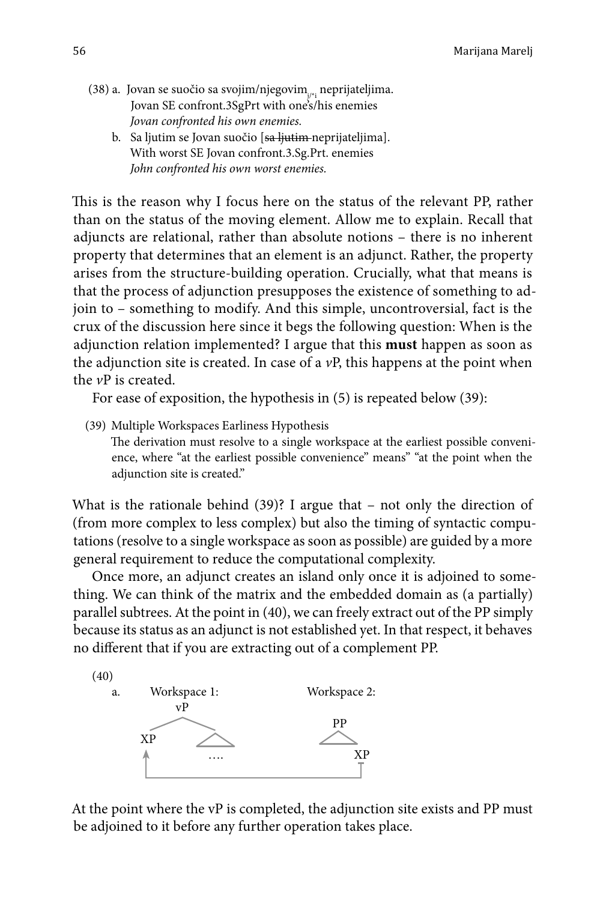- (38) a. Jovan se suočio sa svojim/njegovim $_{i,*i}$  neprijateljima. Jovan SE confront.3SgPrt with one's/his enemies *Jovan confronted his own enemies.*
	- b. Sa ljutim se Jovan suočio [sa ljutim neprijateljima]. With worst SE Jovan confront.3.Sg.Prt. enemies *John confronted his own worst enemies.*

This is the reason why I focus here on the status of the relevant PP, rather than on the status of the moving element. Allow me to explain. Recall that adjuncts are relational, rather than absolute notions – there is no inherent property that determines that an element is an adjunct. Rather, the property arises from the structure-building operation. Crucially, what that means is that the process of adjunction presupposes the existence of something to adjoin to – something to modify. And this simple, uncontroversial, fact is the crux of the discussion here since it begs the following question: When is the adjunction relation implemented? I argue that this **must** happen as soon as the adjunction site is created. In case of a *v*P, this happens at the point when the *v*P is created.

For ease of exposition, the hypothesis in (5) is repeated below (39):

(39) Multiple Workspaces Earliness Hypothesis The derivation must resolve to a single workspace at the earliest possible convenience, where "at the earliest possible convenience" means" "at the point when the adjunction site is created."

What is the rationale behind  $(39)$ ? I argue that  $-$  not only the direction of (from more complex to less complex) but also the timing of syntactic computations (resolve to a single workspace as soon as possible) are guided by a more general requirement to reduce the computational complexity.

Once more, an adjunct creates an island only once it is adjoined to something. We can think of the matrix and the embedded domain as (a partially) parallel subtrees. At the point in (40), we can freely extract out of the PP simply because its status as an adjunct is not established yet. In that respect, it behaves no different that if you are extracting out of a complement PP.



At the point where the vP is completed, the adjunction site exists and PP must be adjoined to it before any further operation takes place.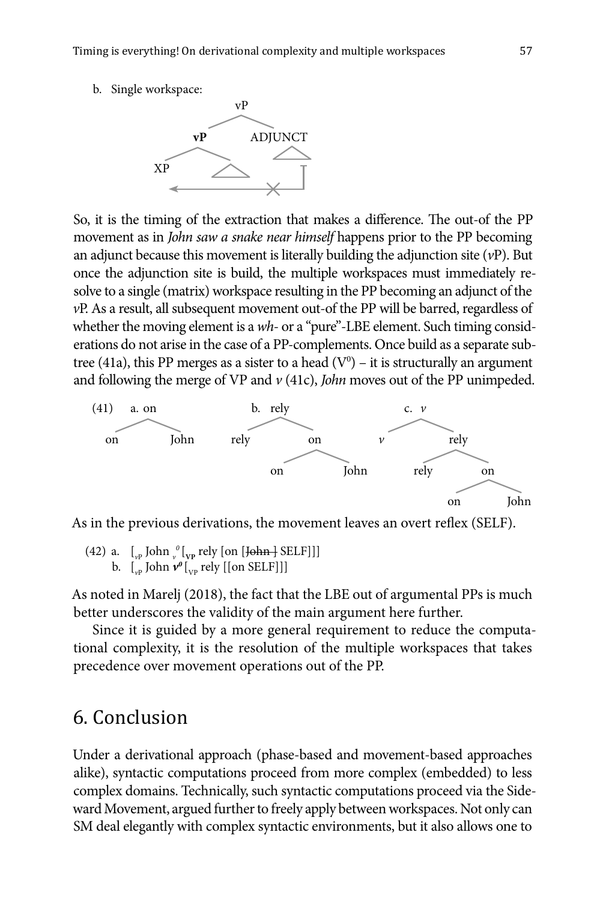b. Single workspace:



So, it is the timing of the extraction that makes a difference. The out-of the PP movement as in *John saw a snake near himself* happens prior to the PP becoming an adjunct because this movement is literally building the adjunction site (*v*P). But once the adjunction site is build, the multiple workspaces must immediately resolve to a single (matrix) workspace resulting in the PP becoming an adjunct of the *v*P. As a result, all subsequent movement out-of the PP will be barred, regardless of whether the moving element is a *wh*- or a "pure"-LBE element. Such timing considerations do not arise in the case of a PP-complements. Once build as a separate subtree (41a), this PP merges as a sister to a head ( $V^0$ ) – it is structurally an argument and following the merge of VP and *v* (41c), *John* moves out of the PP unimpeded.



As in the previous derivations, the movement leaves an overt reflex (SELF).

(42) a.  $\left[\begin{smallmatrix} 1 & 0 \\ v_P & \end{smallmatrix}\right]$  [ $\left[\begin{smallmatrix} 0 & 0 \\ v_P & \end{smallmatrix}\right]$  [ $\left[\begin{smallmatrix} 1 & 0 \\ 0 & \end{smallmatrix}\right]$  [ $\left[\begin{smallmatrix} 1 & 0 \\ 0 & \end{smallmatrix}\right]$ ] [ $\left[\begin{smallmatrix} 1 & 0 \\ 0 & \end{smallmatrix}\right]$ ] [ $\left[\begin{smallmatrix} 1 & 0 \\ 0 & \end{smallmatrix}\right]$ ] b.  $\left[\begin{smallmatrix} 1 \\ v^p \end{smallmatrix}\right]$  John  $\nu^0\left[\begin{smallmatrix} 1 \\ v^p \end{smallmatrix}\right]$  rely  $\left[\begin{smallmatrix} 1 \\ 0 \end{smallmatrix}\right]$  SELF]]

As noted in Marelj (2018), the fact that the LBE out of argumental PPs is much better underscores the validity of the main argument here further.

Since it is guided by a more general requirement to reduce the computational complexity, it is the resolution of the multiple workspaces that takes precedence over movement operations out of the PP.

## 6. Conclusion

Under a derivational approach (phase-based and movement-based approaches alike), syntactic computations proceed from more complex (embedded) to less complex domains. Technically, such syntactic computations proceed via the Sideward Movement, argued further to freely apply between workspaces. Not only can SM deal elegantly with complex syntactic environments, but it also allows one to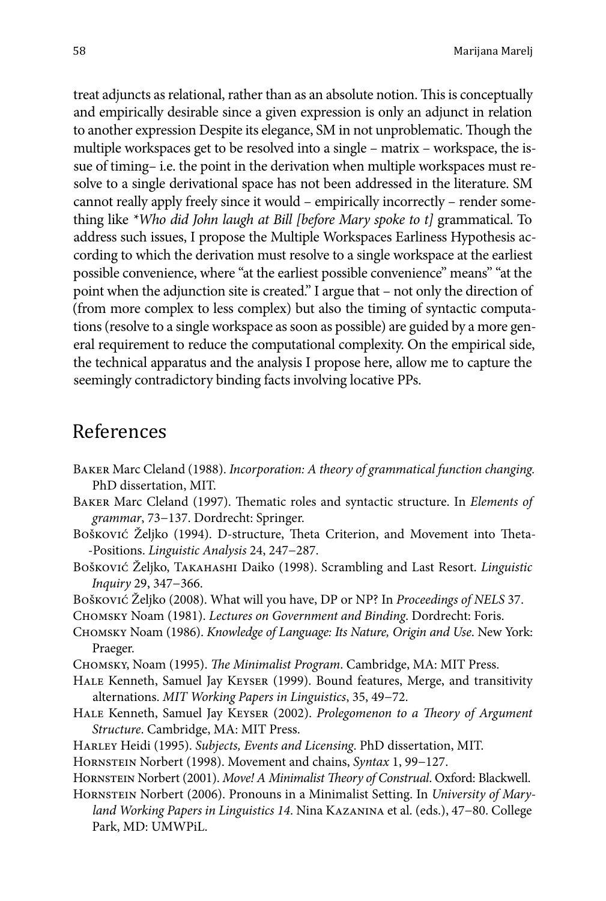treat adjuncts as relational, rather than as an absolute notion. This is conceptually and empirically desirable since a given expression is only an adjunct in relation to another expression Despite its elegance, SM in not unproblematic. Though the multiple workspaces get to be resolved into a single – matrix – workspace, the issue of timing– i.e. the point in the derivation when multiple workspaces must resolve to a single derivational space has not been addressed in the literature. SM cannot really apply freely since it would – empirically incorrectly – render something like *\*Who did John laugh at Bill [before Mary spoke to t]* grammatical. To address such issues, I propose the Multiple Workspaces Earliness Hypothesis according to which the derivation must resolve to a single workspace at the earliest possible convenience, where "at the earliest possible convenience" means" "at the point when the adjunction site is created." I argue that – not only the direction of (from more complex to less complex) but also the timing of syntactic computations (resolve to a single workspace as soon as possible) are guided by a more general requirement to reduce the computational complexity. On the empirical side, the technical apparatus and the analysis I propose here, allow me to capture the seemingly contradictory binding facts involving locative PPs.

### References

- Baker Marc Cleland (1988). *Incorporation: A theory of grammatical function changing.* PhD dissertation, MIT.
- Baker Marc Cleland (1997). Thematic roles and syntactic structure. In *Elements of grammar*, 73−137. Dordrecht: Springer.
- Bošković Željko (1994). D-structure, Theta Criterion, and Movement into Theta- -Positions. *Linguistic Analysis* 24, 247−287.
- Bošković Željko, Takahashi Daiko (1998). Scrambling and Last Resort. *Linguistic Inquiry* 29, 347−366.
- Bošković Željko (2008). What will you have, DP or NP? In *Proceedings of NELS* 37.
- Chomsky Noam (1981). *Lectures on Government and Binding*. Dordrecht: Foris.
- Chomsky Noam (1986). *Knowledge of Language: Its Nature, Origin and Use*. New York: Praeger.
- Chomsky, Noam (1995). *The Minimalist Program*. Cambridge, MA: MIT Press.
- Hale Kenneth, Samuel Jay Keyser (1999). Bound features, Merge, and transitivity alternations. *MIT Working Papers in Linguistics*, 35, 49−72.
- Hale Kenneth, Samuel Jay Keyser (2002). *Prolegomenon to a Theory of Argument Structure*. Cambridge, MA: MIT Press.
- Harley Heidi (1995). *Subjects, Events and Licensing*. PhD dissertation, MIT.
- Hornstein Norbert (1998). Movement and chains, *Syntax* 1, 99−127.
- Hornstein Norbert (2001). *Move! A Minimalist Theory of Construal*. Oxford: Blackwell.
- Hornstein Norbert (2006). Pronouns in a Minimalist Setting. In *University of Maryland Working Papers in Linguistics 14*. Nina Kazanina et al. (eds.), 47−80. College Park, MD: UMWPiL.